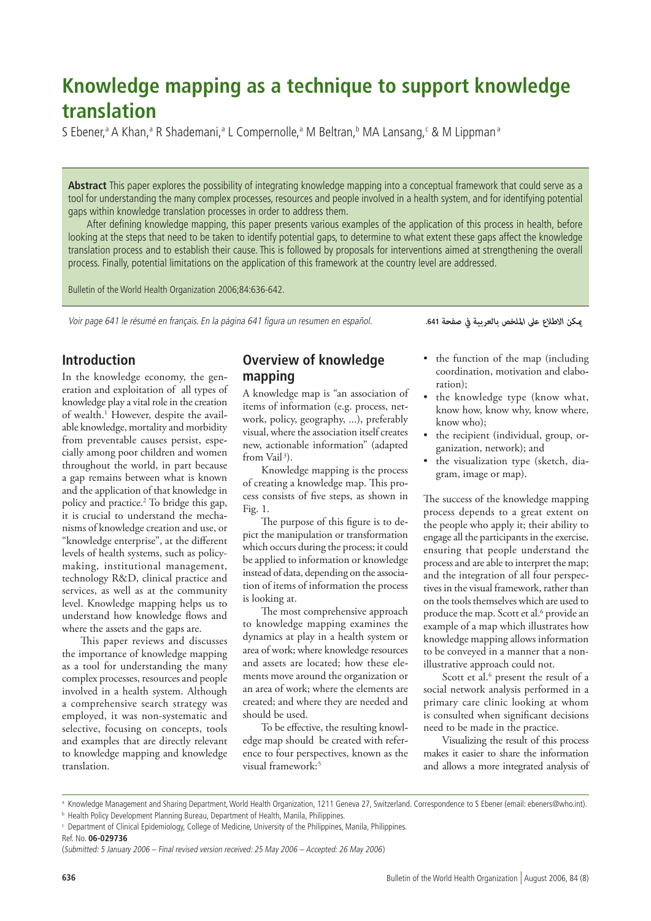# **Knowledge mapping as a technique to support knowledge translation**

S Ebener,<sup>a</sup> A Khan,<sup>a</sup> R Shademani,<sup>a</sup> L Compernolle,<sup>a</sup> M Beltran,<sup>b</sup> MA Lansang,<sup>c</sup> & M Lippman<sup>a</sup>

**Abstract** This paper explores the possibility of integrating knowledge mapping into a conceptual framework that could serve as a tool for understanding the many complex processes, resources and people involved in a health system, and for identifying potential gaps within knowledge translation processes in order to address them.

After defining knowledge mapping, this paper presents various examples of the application of this process in health, before looking at the steps that need to be taken to identify potential gaps, to determine to what extent these gaps affect the knowledge translation process and to establish their cause. This is followed by proposals for interventions aimed at strengthening the overall process. Finally, potential limitations on the application of this framework at the country level are addressed.

Bulletin of the World Health Organization 2006;84:636-642.

Voir page 641 le résumé en français. En la página 641 figura un resumen en español.

*ميكن االطالع عىل امللخص بالعربية يف صفحة* **.641**

## **Introduction**

In the knowledge economy, the generation and exploitation of all types of knowledge play a vital role in the creation of wealth.<sup>1</sup> However, despite the available knowledge, mortality and morbidity from preventable causes persist, especially among poor children and women throughout the world, in part because a gap remains between what is known and the application of that knowledge in policy and practice.2 To bridge this gap, it is crucial to understand the mechanisms of knowledge creation and use, or "knowledge enterprise", at the different levels of health systems, such as policymaking, institutional management, technology R&D, clinical practice and services, as well as at the community level. Knowledge mapping helps us to understand how knowledge flows and where the assets and the gaps are.

This paper reviews and discusses the importance of knowledge mapping as a tool for understanding the many complex processes, resources and people involved in a health system. Although a comprehensive search strategy was employed, it was non-systematic and selective, focusing on concepts, tools and examples that are directly relevant to knowledge mapping and knowledge translation.

## **Overview of knowledge mapping**

A knowledge map is "an association of items of information (e.g. process, network, policy, geography, ...), preferably visual, where the association itself creates new, actionable information" (adapted from Vail<sup>3</sup>).

Knowledge mapping is the process of creating a knowledge map. This process consists of five steps, as shown in Fig. 1.

The purpose of this figure is to depict the manipulation or transformation which occurs during the process; it could be applied to information or knowledge instead of data, depending on the association of items of information the process is looking at.

The most comprehensive approach to knowledge mapping examines the dynamics at play in a health system or area of work; where knowledge resources and assets are located; how these elements move around the organization or an area of work; where the elements are created; and where they are needed and should be used.

To be effective, the resulting knowledge map should be created with reference to four perspectives, known as the visual framework:<sup>5</sup>

- the function of the map (including coordination, motivation and elaboration);
- the knowledge type (know what, know how, know why, know where, know who);
- the recipient (individual, group, organization, network); and
- the visualization type (sketch, diagram, image or map).

The success of the knowledge mapping process depends to a great extent on the people who apply it; their ability to engage all the participants in the exercise, ensuring that people understand the process and are able to interpret the map; and the integration of all four perspectives in the visual framework, rather than on the tools themselves which are used to produce the map. Scott et al.<sup>6</sup> provide an example of a map which illustrates how knowledge mapping allows information to be conveyed in a manner that a nonillustrative approach could not.

Scott et al.<sup>6</sup> present the result of a social network analysis performed in a primary care clinic looking at whom is consulted when significant decisions need to be made in the practice.

Visualizing the result of this process makes it easier to share the information and allows a more integrated analysis of

a Knowledge Management and Sharing Department, World Health Organization, 1211 Geneva 27, Switzerland. Correspondence to S Ebener (email: ebeners@who.int).

**b Health Policy Development Planning Bureau, Department of Health, Manila, Philippines.** 

<sup>c</sup> Department of Clinical Epidemiology, College of Medicine, University of the Philippines, Manila, Philippines.

Ref. No. **06-029736**

<sup>(</sup>Submitted: 5 January 2006 – Final revised version received: 25 May 2006 – Accepted: 26 May 2006)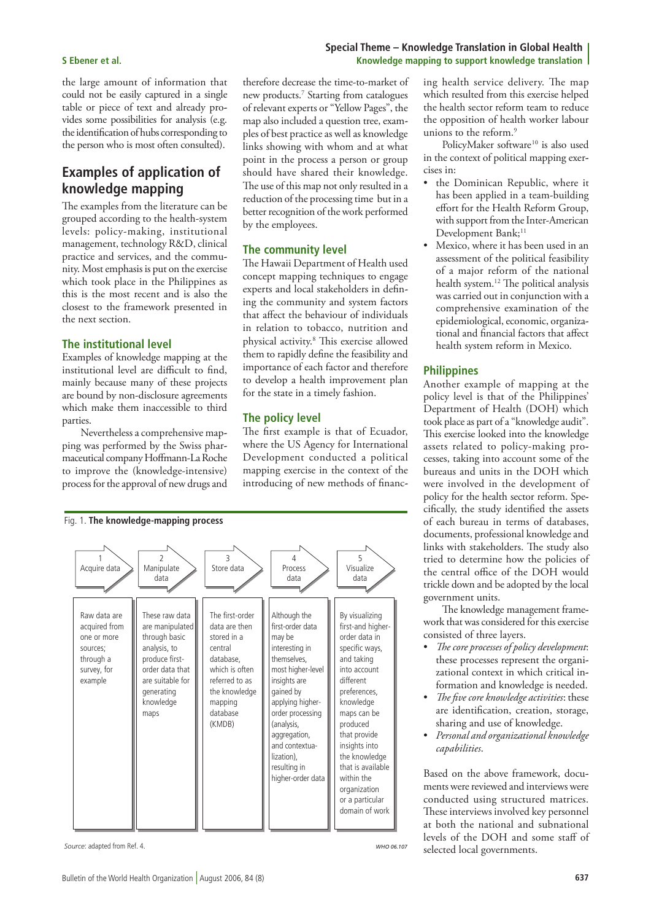the large amount of information that could not be easily captured in a single table or piece of text and already provides some possibilities for analysis (e.g. the identification of hubs corresponding to the person who is most often consulted).

## **Examples of application of knowledge mapping**

The examples from the literature can be grouped according to the health-system levels: policy-making, institutional management, technology R&D, clinical practice and services, and the community. Most emphasis is put on the exercise which took place in the Philippines as this is the most recent and is also the closest to the framework presented in the next section.

#### **The institutional level**

Examples of knowledge mapping at the institutional level are difficult to find, mainly because many of these projects are bound by non-disclosure agreements which make them inaccessible to third parties.

Nevertheless a comprehensive mapping was performed by the Swiss pharmaceutical company Hoffmann-La Roche to improve the (knowledge-intensive) process for the approval of new drugs and

therefore decrease the time-to-market of new products.7 Starting from catalogues of relevant experts or "Yellow Pages", the map also included a question tree, examples of best practice as well as knowledge links showing with whom and at what point in the process a person or group should have shared their knowledge. The use of this map not only resulted in a reduction of the processing time but in a better recognition of the work performed by the employees.

#### **The community level**

The Hawaii Department of Health used concept mapping techniques to engage experts and local stakeholders in defining the community and system factors that affect the behaviour of individuals in relation to tobacco, nutrition and physical activity.8 This exercise allowed them to rapidly define the feasibility and importance of each factor and therefore to develop a health improvement plan for the state in a timely fashion.

#### **The policy level**

The first example is that of Ecuador, where the US Agency for International Development conducted a political mapping exercise in the context of the introducing of new methods of financ-



*Source*: adapted from Ref. 4.

*WHO 06.107*

### **Special Theme – Knowledge Translation in Global Health S Ebener et al. Knowledge mapping to support knowledge translation**

ing health service delivery. The map which resulted from this exercise helped the health sector reform team to reduce the opposition of health worker labour unions to the reform.9

PolicyMaker software<sup>10</sup> is also used in the context of political mapping exercises in:

- the Dominican Republic, where it has been applied in a team-building effort for the Health Reform Group, with support from the Inter-American Development Bank;<sup>11</sup>
- Mexico, where it has been used in an assessment of the political feasibility of a major reform of the national health system.12 The political analysis was carried out in conjunction with a comprehensive examination of the epidemiological, economic, organizational and financial factors that affect health system reform in Mexico.

#### **Philippines**

Another example of mapping at the policy level is that of the Philippines' Department of Health (DOH) which took place as part of a "knowledge audit". This exercise looked into the knowledge assets related to policy-making processes, taking into account some of the bureaus and units in the DOH which were involved in the development of policy for the health sector reform. Specifically, the study identified the assets of each bureau in terms of databases, documents, professional knowledge and links with stakeholders. The study also tried to determine how the policies of the central office of the DOH would trickle down and be adopted by the local government units.

The knowledge management framework that was considered for this exercise consisted of three layers.

- *The core processes of policy development*: these processes represent the organizational context in which critical information and knowledge is needed.
- *The five core knowledge activities*: these are identification, creation, storage, sharing and use of knowledge.
- *Personal and organizational knowledge capabilities*.

Based on the above framework, documents were reviewed and interviews were conducted using structured matrices. These interviews involved key personnel at both the national and subnational levels of the DOH and some staff of selected local governments.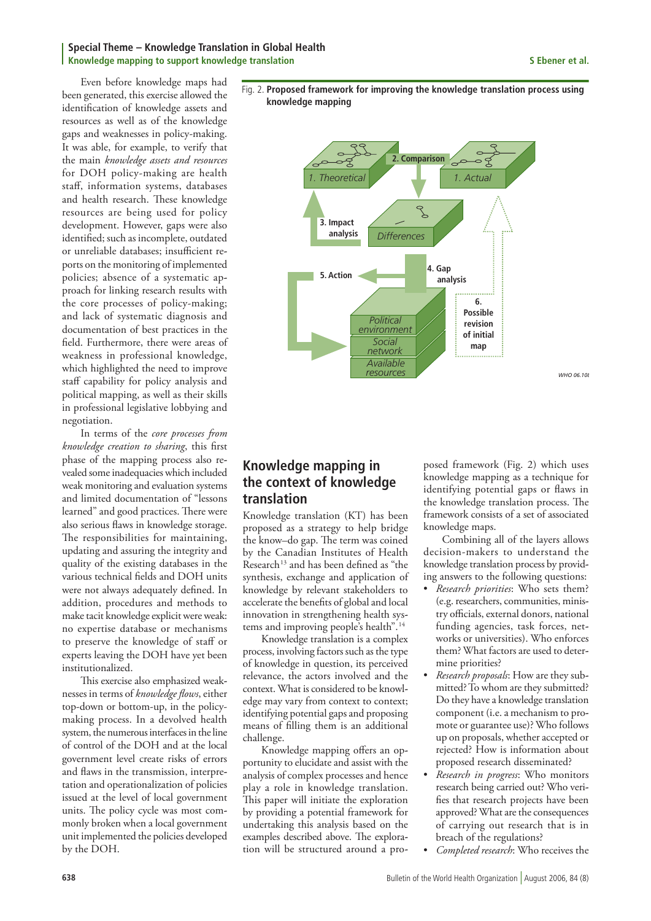#### **Special Theme – Knowledge Translation in Global Health Knowledge mapping to support knowledge translation S Ebener et al.**

Even before knowledge maps had been generated, this exercise allowed the identification of knowledge assets and resources as well as of the knowledge gaps and weaknesses in policy-making. It was able, for example, to verify that the main *knowledge assets and resources* for DOH policy-making are health staff, information systems, databases and health research. These knowledge resources are being used for policy development. However, gaps were also identified; such as incomplete, outdated or unreliable databases; insufficient reports on the monitoring of implemented policies; absence of a systematic approach for linking research results with the core processes of policy-making; and lack of systematic diagnosis and documentation of best practices in the field. Furthermore, there were areas of weakness in professional knowledge, which highlighted the need to improve staff capability for policy analysis and political mapping, as well as their skills in professional legislative lobbying and negotiation.

In terms of the *core processes from knowledge creation to sharing*, this first phase of the mapping process also revealed some inadequacies which included weak monitoring and evaluation systems and limited documentation of "lessons learned" and good practices. There were also serious flaws in knowledge storage. The responsibilities for maintaining, updating and assuring the integrity and quality of the existing databases in the various technical fields and DOH units were not always adequately defined. In addition, procedures and methods to make tacit knowledge explicit were weak: no expertise database or mechanisms to preserve the knowledge of staff or experts leaving the DOH have yet been institutionalized.

This exercise also emphasized weaknesses in terms of *knowledge flows*, either top-down or bottom-up, in the policymaking process. In a devolved health system, the numerous interfaces in the line of control of the DOH and at the local government level create risks of errors and flaws in the transmission, interpretation and operationalization of policies issued at the level of local government units. The policy cycle was most commonly broken when a local government unit implemented the policies developed by the DOH.





## **Knowledge mapping in the context of knowledge translation**

Knowledge translation (KT) has been proposed as a strategy to help bridge the know–do gap. The term was coined by the Canadian Institutes of Health Research<sup>13</sup> and has been defined as "the synthesis, exchange and application of knowledge by relevant stakeholders to accelerate the benefits of global and local innovation in strengthening health systems and improving people's health".14

Knowledge translation is a complex process, involving factors such as the type of knowledge in question, its perceived relevance, the actors involved and the context. What is considered to be knowledge may vary from context to context; identifying potential gaps and proposing means of filling them is an additional challenge.

Knowledge mapping offers an opportunity to elucidate and assist with the analysis of complex processes and hence play a role in knowledge translation. This paper will initiate the exploration by providing a potential framework for undertaking this analysis based on the examples described above. The exploration will be structured around a pro-

posed framework (Fig. 2) which uses knowledge mapping as a technique for identifying potential gaps or flaws in the knowledge translation process. The framework consists of a set of associated knowledge maps.

Combining all of the layers allows decision-makers to understand the knowledge translation process by providing answers to the following questions:

- *Research priorities*: Who sets them? (e.g. researchers, communities, ministry officials, external donors, national funding agencies, task forces, networks or universities). Who enforces them? What factors are used to determine priorities?
- *Research proposals*: How are they subm mitted? To whom are they submitted? Do they have a knowledge translation component (i.e. a mechanism to promote or guarantee use)? Who follows up on proposals, whether accepted or rejected? How is information about proposed research disseminated?
- *Research in progress*: Who monitors research being carried out? Who verifies that research projects have been approved? What are the consequences of carrying out research that is in breach of the regulations?
- *Completed research*: Who receives the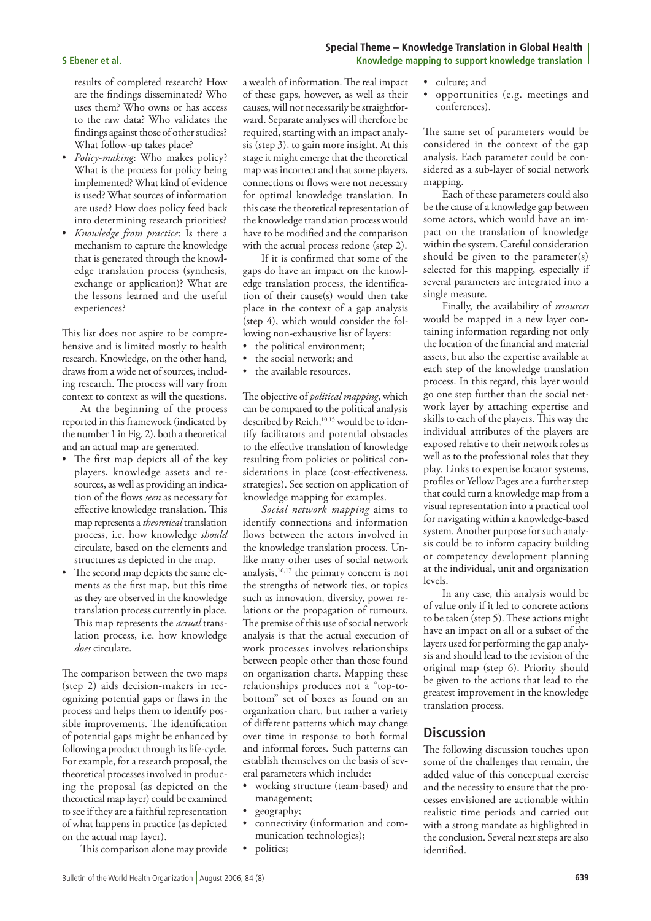results of completed research? How are the findings disseminated? Who uses them? Who owns or has access to the raw data? Who validates the findings against those of other studies? What follow-up takes place?

- *Policy-making*: Who makes policy? What is the process for policy being implemented? What kind of evidence is used? What sources of information are used? How does policy feed back into determining research priorities?
- *Knowledge from practice*: Is there a mechanism to capture the knowledge that is generated through the knowledge translation process (synthesis, exchange or application)? What are the lessons learned and the useful experiences?

This list does not aspire to be comprehensive and is limited mostly to health research. Knowledge, on the other hand, draws from a wide net of sources, including research. The process will vary from context to context as will the questions.

At the beginning of the process reported in this framework (indicated by the number 1 in Fig. 2), both a theoretical and an actual map are generated.

- The first map depicts all of the key players, knowledge assets and resources, as well as providing an indication of the flows *seen* as necessary for effective knowledge translation. This map represents a *theoretical* translation process, i.e. how knowledge *should* circulate, based on the elements and structures as depicted in the map.
- The second map depicts the same elements as the first map, but this time as they are observed in the knowledge translation process currently in place. This map represents the *actual* translation process, i.e. how knowledge *does* circulate.

The comparison between the two maps  $(\text{step } 2)$  aids decision-makers in recognizing potential gaps or flaws in the process and helps them to identify possible improvements. The identification of potential gaps might be enhanced by following a product through its life-cycle. For example, for a research proposal, the theoretical processes involved in producing the proposal (as depicted on the theoretical map layer) could be examined to see if they are a faithful representation of what happens in practice (as depicted on the actual map layer).

This comparison alone may provide

a wealth of information. The real impact of these gaps, however, as well as their causes, will not necessarily be straightforward. Separate analyses will therefore be required, starting with an impact analysis (step 3), to gain more insight. At this stage it might emerge that the theoretical map was incorrect and that some players, connections or flows were not necessary for optimal knowledge translation. In this case the theoretical representation of the knowledge translation process would have to be modified and the comparison with the actual process redone (step 2).

If it is confirmed that some of the gaps do have an impact on the knowledge translation process, the identification of their cause(s) would then take place in the context of a gap analysis (step 4), which would consider the following non-exhaustive list of layers:

- the political environment; • the social network; and
- the available resources.
- The objective of *political mapping*, which can be compared to the political analysis

described by Reich,<sup>10,15</sup> would be to identify facilitators and potential obstacles to the effective translation of knowledge resulting from policies or political considerations in place (cost-effectiveness, strategies). See section on application of knowledge mapping for examples.

*Social network mapping* aims to identify connections and information flows between the actors involved in the knowledge translation process. Unlike many other uses of social network analysis, $16,17$  the primary concern is not the strengths of network ties, or topics such as innovation, diversity, power relations or the propagation of rumours. The premise of this use of social network analysis is that the actual execution of work processes involves relationships between people other than those found on organization charts. Mapping these relationships produces not a "top-tobottom" set of boxes as found on an organization chart, but rather a variety of different patterns which may change over time in response to both formal and informal forces. Such patterns can establish themselves on the basis of several parameters which include:

- working structure (team-based) and management;
- geography;
- connectivity (information and communication technologies);
- politics;

### **Special Theme – Knowledge Translation in Global Health S Ebener et al. Knowledge mapping to support knowledge translation**

- culture; and
- opportunities (e.g. meetings and conferences).

The same set of parameters would be considered in the context of the gap analysis. Each parameter could be considered as a sub-layer of social network mapping.

Each of these parameters could also be the cause of a knowledge gap between some actors, which would have an impact on the translation of knowledge within the system. Careful consideration should be given to the parameter(s) selected for this mapping, especially if several parameters are integrated into a single measure.

Finally, the availability of *resources* would be mapped in a new layer containing information regarding not only the location of the financial and material assets, but also the expertise available at each step of the knowledge translation process. In this regard, this layer would go one step further than the social network layer by attaching expertise and skills to each of the players. This way the individual attributes of the players are exposed relative to their network roles as well as to the professional roles that they play. Links to expertise locator systems, profiles or Yellow Pages are a further step that could turn a knowledge map from a visual representation into a practical tool for navigating within a knowledge-based system. Another purpose for such analysis could be to inform capacity building or competency development planning at the individual, unit and organization levels.

In any case, this analysis would be of value only if it led to concrete actions to be taken (step 5). These actions might have an impact on all or a subset of the layers used for performing the gap analysis and should lead to the revision of the original map (step 6). Priority should be given to the actions that lead to the greatest improvement in the knowledge translation process.

### **Discussion**

The following discussion touches upon some of the challenges that remain, the added value of this conceptual exercise and the necessity to ensure that the processes envisioned are actionable within realistic time periods and carried out with a strong mandate as highlighted in the conclusion. Several next steps are also identified.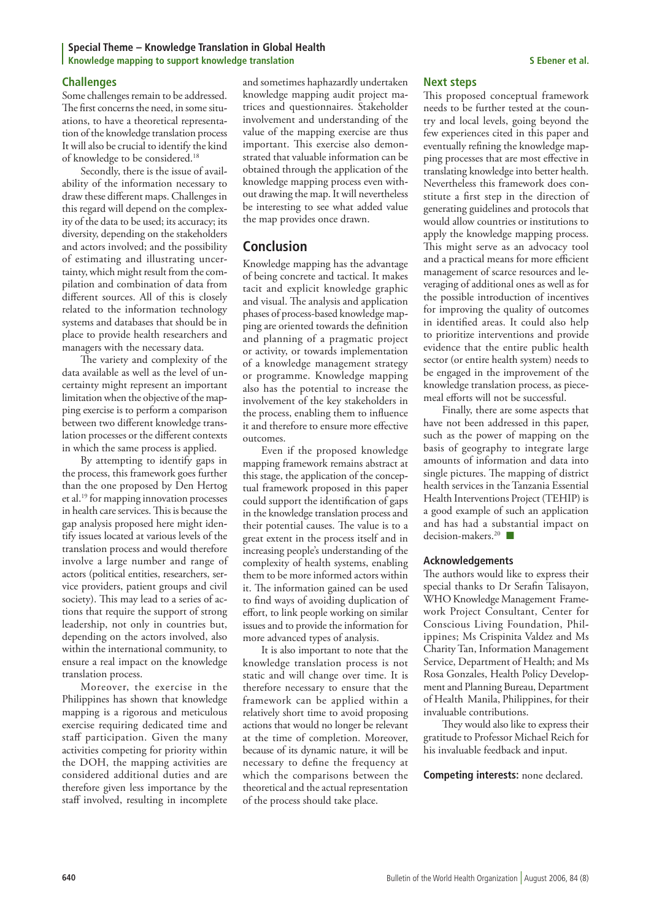#### **Special Theme – Knowledge Translation in Global Health Knowledge mapping to support knowledge translation S Ebener et al.**

#### **Challenges**

Some challenges remain to be addressed. The first concerns the need, in some situations, to have a theoretical representation of the knowledge translation process It will also be crucial to identify the kind of knowledge to be considered.18

Secondly, there is the issue of availability of the information necessary to draw these different maps. Challenges in this regard will depend on the complexity of the data to be used; its accuracy; its diversity, depending on the stakeholders and actors involved; and the possibility of estimating and illustrating uncertainty, which might result from the compilation and combination of data from different sources. All of this is closely related to the information technology systems and databases that should be in place to provide health researchers and managers with the necessary data.

The variety and complexity of the  $data$  available as well as the level of  $un$ certainty might represent an important limitation when the objective of the mapping exercise is to perform a comparison between two different knowledge translation processes or the different contexts in which the same process is applied.

By attempting to identify gaps in the process, this framework goes further than the one proposed by Den Hertog et al.19 for mapping innovation processes in health care services. This is because the gap analysis proposed here might identify issues located at various levels of the translation process and would therefore involve a large number and range of actors (political entities, researchers, service providers, patient groups and civil society). This may lead to a series of actions that require the support of strong leadership, not only in countries but, depending on the actors involved, also within the international community, to ensure a real impact on the knowledge translation process.

Moreover, the exercise in the Philippines has shown that knowledge mapping is a rigorous and meticulous exercise requiring dedicated time and staff participation. Given the many activities competing for priority within the DOH, the mapping activities are considered additional duties and are therefore given less importance by the staff involved, resulting in incomplete

and sometimes haphazardly undertaken knowledge mapping audit project matrices and questionnaires. Stakeholder involvement and understanding of the value of the mapping exercise are thus important. This exercise also demonstrated that valuable information can be obtained through the application of the knowledge mapping process even without drawing the map. It will nevertheless be interesting to see what added value the map provides once drawn.

## **Conclusion**

Knowledge mapping has the advantage of being concrete and tactical. It makes tacit and explicit knowledge graphic and visual. The analysis and application phases of process-based knowledge mapping are oriented towards the definition and planning of a pragmatic project or activity, or towards implementation of a knowledge management strategy or programme. Knowledge mapping also has the potential to increase the involvement of the key stakeholders in the process, enabling them to influence it and therefore to ensure more effective outcomes.

Even if the proposed knowledge mapping framework remains abstract at this stage, the application of the conceptual framework proposed in this paper could support the identification of gaps in the knowledge translation process and their potential causes. The value is to a great extent in the process itself and in increasing people's understanding of the complexity of health systems, enabling them to be more informed actors within it. The information gained can be used to find ways of avoiding duplication of effort, to link people working on similar issues and to provide the information for more advanced types of analysis.

It is also important to note that the knowledge translation process is not static and will change over time. It is therefore necessary to ensure that the framework can be applied within a relatively short time to avoid proposing actions that would no longer be relevant at the time of completion. Moreover, because of its dynamic nature, it will be necessary to define the frequency at which the comparisons between the theoretical and the actual representation of the process should take place.

#### **Next steps**

This proposed conceptual framework needs to be further tested at the country and local levels, going beyond the few experiences cited in this paper and eventually refining the knowledge mapping processes that are most effective in translating knowledge into better health. Nevertheless this framework does constitute a first step in the direction of generating guidelines and protocols that would allow countries or institutions to apply the knowledge mapping process. This might serve as an advocacy tool and a practical means for more efficient management of scarce resources and leveraging of additional ones as well as for the possible introduction of incentives for improving the quality of outcomes in identified areas. It could also help to prioritize interventions and provide evidence that the entire public health sector (or entire health system) needs to be engaged in the improvement of the knowledge translation process, as piecemeal efforts will not be successful.

Finally, there are some aspects that have not been addressed in this paper, such as the power of mapping on the basis of geography to integrate large amounts of information and data into single pictures. The mapping of district health services in the Tanzania Essential Health Interventions Project (TEHIP) is a good example of such an application and has had a substantial impact on decision-makers.<sup>20</sup>

#### **Acknowledgements**

The authors would like to express their special thanks to Dr Serafin Talisayon, WHO Knowledge Management Framework Project Consultant, Center for Conscious Living Foundation, Phili ippines; Ms Crispinita Valdez and Ms Charity Tan, Information Management Service, Department of Health; and Ms Rosa Gonzales, Health Policy Development and Planning Bureau, Department of Health Manila, Philippines, for their invaluable contributions.

They would also like to express their gratitude to Professor Michael Reich for his invaluable feedback and input.

**Competing interests:** none declared.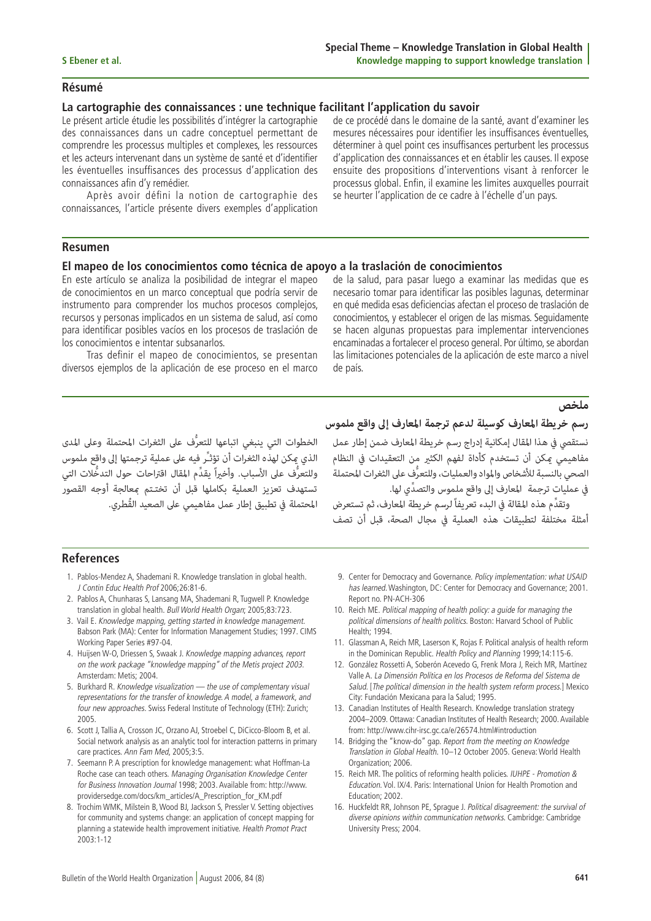#### **Résumé**

### **La cartographie des connaissances : une technique facilitant l'application du savoir**

Le présent article étudie les possibilités d'intégrer la cartographie des connaissances dans un cadre conceptuel permettant de comprendre les processus multiples et complexes, les ressources et les acteurs intervenant dans un système de santé et d'identifier les éventuelles insuffisances des processus d'application des connaissances afin d'y remédier.

Après avoir défini la notion de cartographie des connaissances, l'article présente divers exemples d'application de ce procédé dans le domaine de la santé, avant d'examiner les mesures nécessaires pour identifier les insuffisances éventuelles, déterminer à quel point ces insuffisances perturbent les processus d'application des connaissances et en établir les causes. Il expose ensuite des propositions d'interventions visant à renforcer le processus global. Enfin, il examine les limites auxquelles pourrait se heurter l'application de ce cadre à l'échelle d'un pays.

### **Resumen**

### **El mapeo de los conocimientos como técnica de apoyo a la traslación de conocimientos**

En este artículo se analiza la posibilidad de integrar el mapeo de conocimientos en un marco conceptual que podría servir de instrumento para comprender los muchos procesos complejos, recursos y personas implicados en un sistema de salud, así como para identificar posibles vacíos en los procesos de traslación de los conocimientos e intentar subsanarlos.

Tras definir el mapeo de conocimientos, se presentan diversos ejemplos de la aplicación de ese proceso en el marco de la salud, para pasar luego a examinar las medidas que es necesario tomar para identificar las posibles lagunas, determinar en qué medida esas deficiencias afectan el proceso de traslación de conocimientos, y establecer el origen de las mismas. Seguidamente se hacen algunas propuestas para implementar intervenciones encaminadas a fortalecer el proceso general. Por último, se abordan las limitaciones potenciales de la aplicación de este marco a nivel de país.

الخطوات التي ينبغي اتباعها للتعرُّف على الثغرات المحتملة وعلى المدى<br>الذي عكن لهذه الثغرات أن تؤثـُّر فيه على عملية ترجمتها إلى واقع ملموس<br>وللتعرُّف على الأسباب. وأخيراً يقدِّم المقال اقتراحات حول التدخُّلات التي<br>تستهدف تع

**ملخص**<br>رسم **خريطة المعارف كوسيلة لدعم ترجمة المعارف إلى واقع ملموس**<br>نستقصي في هذا المقال إمكانية إدراج رسم خريطة المعارف ضمن إطار عمل<br>مفاهيمي عكن أن تستخدم كأداة لفهم الكثير من التعقيدات في النظام<br>الصحي بالنسبة للأشخاص وا

### **References**

- 1. Pablos-Mendez A, Shademani R. Knowledge translation in global health. J Contin Educ Health Prof 2006;26:81-6.
- 2. Pablos A, Chunharas S, Lansang MA, Shademani R, Tugwell P. Knowledge translation in global health. Bull World Health Organ; 2005;83:723.
- 3. Vail E. Knowledge mapping, getting started in knowledge management. Babson Park (MA): Center for Information Management Studies; 1997. CIMS Working Paper Series #97-04.
- 4. Huijsen W-O, Driessen S, Swaak J. Knowledge mapping advances, report on the work package "knowledge mapping" of the Metis project 2003. Amsterdam: Metis; 2004.
- 5. Burkhard R. Knowledge visualization the use of complementary visual representations for the transfer of knowledge. A model, a framework, and four new approaches. Swiss Federal Institute of Technology (ETH): Zurich; 2005.
- 6. Scott J, Tallia A, Crosson JC, Orzano AJ, Stroebel C, DiCicco-Bloom B, et al. Social network analysis as an analytic tool for interaction patterns in primary care practices. Ann Fam Med, 2005;3:5.
- 7. Seemann P. A prescription for knowledge management: what Hoffman-La Roche case can teach others. Managing Organisation Knowledge Center for Business Innovation Journal 1998; 2003. Available from: http://www. providersedge.com/docs/km\_articles/A\_Prescription\_for\_KM.pdf
- 8. Trochim WMK, Milstein B, Wood BJ, Jackson S, Pressler V. Setting objectives for community and systems change: an application of concept mapping for planning a statewide health improvement initiative. Health Promot Pract 2003:1-12
- 9. Center for Democracy and Governance. Policy implementation: what USAID has learned. Washington, DC: Center for Democracy and Governance; 2001. Report no. PN-ACH-306
- 10. Reich ME. Political mapping of health policy: a guide for managing the political dimensions of health politics. Boston: Harvard School of Public Health; 1994.
- 11. Glassman A, Reich MR, Laserson K, Rojas F. Political analysis of health reform in the Dominican Republic. Health Policy and Planning 1999;14:115-6.
- 12. González Rossetti A, Soberón Acevedo G, Frenk Mora J, Reich MR, Martínez Valle A. La Dimensión Política en los Procesos de Reforma del Sistema de Salud. [The political dimension in the health system reform process.] Mexico City: Fundación Mexicana para la Salud; 1995.
- 13. Canadian Institutes of Health Research. Knowledge translation strategy 2004–2009. Ottawa: Canadian Institutes of Health Research; 2000. Available from: http://www.cihr-irsc.gc.ca/e/26574.html#introduction
- 14. Bridging the "know-do" gap. Report from the meeting on Knowledge Translation in Global Health. 10–12 October 2005. Geneva: World Health Organization; 2006.
- 15. Reich MR. The politics of reforming health policies. IUHPE Promotion & Education. Vol. IX/4. Paris: International Union for Health Promotion and Education; 2002.
- 16. Huckfeldt RR, Johnson PE, Sprague J. Political disagreement: the survival of diverse opinions within communication networks. Cambridge: Cambridge University Press; 2004.